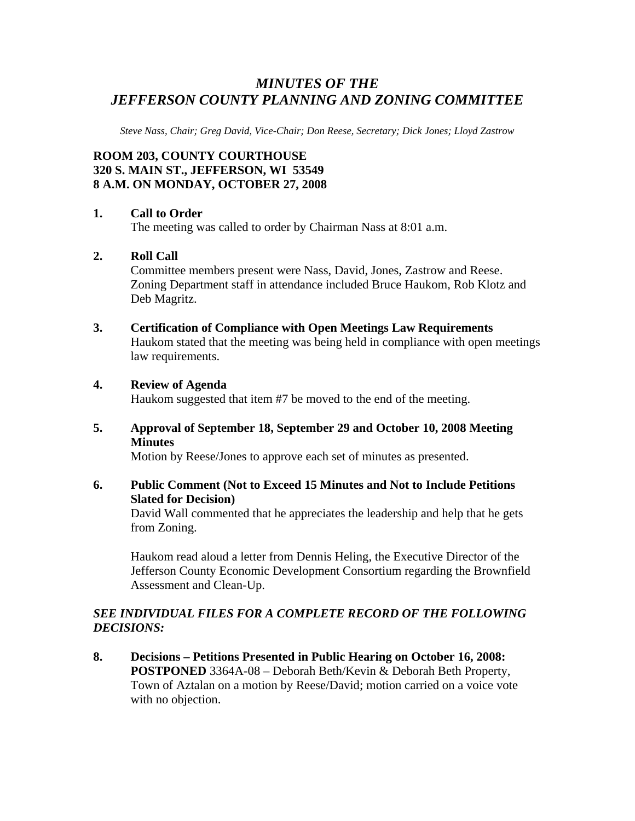# *MINUTES OF THE JEFFERSON COUNTY PLANNING AND ZONING COMMITTEE*

*Steve Nass, Chair; Greg David, Vice-Chair; Don Reese, Secretary; Dick Jones; Lloyd Zastrow* 

# **ROOM 203, COUNTY COURTHOUSE 320 S. MAIN ST., JEFFERSON, WI 53549 8 A.M. ON MONDAY, OCTOBER 27, 2008**

### **1. Call to Order**

The meeting was called to order by Chairman Nass at 8:01 a.m.

### **2. Roll Call**

Committee members present were Nass, David, Jones, Zastrow and Reese. Zoning Department staff in attendance included Bruce Haukom, Rob Klotz and Deb Magritz.

**3. Certification of Compliance with Open Meetings Law Requirements**  Haukom stated that the meeting was being held in compliance with open meetings law requirements.

### **4. Review of Agenda**

Haukom suggested that item #7 be moved to the end of the meeting.

**5. Approval of September 18, September 29 and October 10, 2008 Meeting Minutes** 

Motion by Reese/Jones to approve each set of minutes as presented.

# **6. Public Comment (Not to Exceed 15 Minutes and Not to Include Petitions Slated for Decision)**

David Wall commented that he appreciates the leadership and help that he gets from Zoning.

 Haukom read aloud a letter from Dennis Heling, the Executive Director of the Jefferson County Economic Development Consortium regarding the Brownfield Assessment and Clean-Up.

## *SEE INDIVIDUAL FILES FOR A COMPLETE RECORD OF THE FOLLOWING DECISIONS:*

**8. Decisions – Petitions Presented in Public Hearing on October 16, 2008: POSTPONED** 3364A-08 – Deborah Beth/Kevin & Deborah Beth Property, Town of Aztalan on a motion by Reese/David; motion carried on a voice vote with no objection.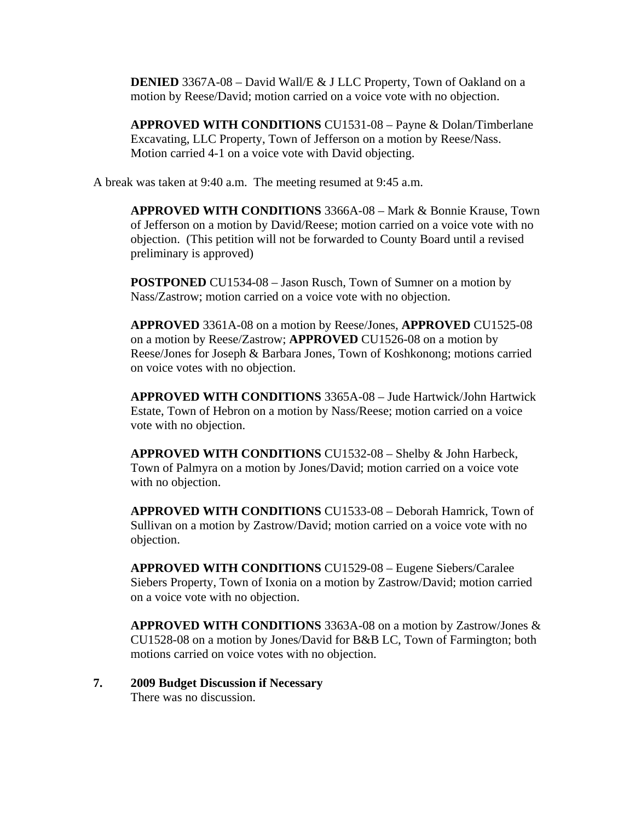**DENIED** 3367A-08 – David Wall/E & J LLC Property, Town of Oakland on a motion by Reese/David; motion carried on a voice vote with no objection.

**APPROVED WITH CONDITIONS** CU1531-08 – Payne & Dolan/Timberlane Excavating, LLC Property, Town of Jefferson on a motion by Reese/Nass. Motion carried 4-1 on a voice vote with David objecting.

A break was taken at 9:40 a.m. The meeting resumed at 9:45 a.m.

**APPROVED WITH CONDITIONS** 3366A-08 – Mark & Bonnie Krause, Town of Jefferson on a motion by David/Reese; motion carried on a voice vote with no objection. (This petition will not be forwarded to County Board until a revised preliminary is approved)

**POSTPONED** CU1534-08 – Jason Rusch, Town of Sumner on a motion by Nass/Zastrow; motion carried on a voice vote with no objection.

**APPROVED** 3361A-08 on a motion by Reese/Jones, **APPROVED** CU1525-08 on a motion by Reese/Zastrow; **APPROVED** CU1526-08 on a motion by Reese/Jones for Joseph & Barbara Jones, Town of Koshkonong; motions carried on voice votes with no objection.

**APPROVED WITH CONDITIONS** 3365A-08 – Jude Hartwick/John Hartwick Estate, Town of Hebron on a motion by Nass/Reese; motion carried on a voice vote with no objection.

**APPROVED WITH CONDITIONS** CU1532-08 – Shelby & John Harbeck, Town of Palmyra on a motion by Jones/David; motion carried on a voice vote with no objection.

**APPROVED WITH CONDITIONS** CU1533-08 – Deborah Hamrick, Town of Sullivan on a motion by Zastrow/David; motion carried on a voice vote with no objection.

**APPROVED WITH CONDITIONS** CU1529-08 – Eugene Siebers/Caralee Siebers Property, Town of Ixonia on a motion by Zastrow/David; motion carried on a voice vote with no objection.

**APPROVED WITH CONDITIONS** 3363A-08 on a motion by Zastrow/Jones & CU1528-08 on a motion by Jones/David for B&B LC, Town of Farmington; both motions carried on voice votes with no objection.

#### **7. 2009 Budget Discussion if Necessary**  There was no discussion.